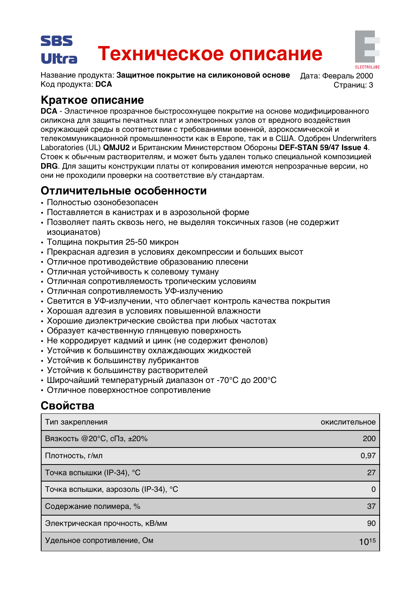## SRS Техническое описание Ultra

Название продукта: Защитное покрытие на силиконовой основе Код продукта: DCA

Лата: Февраль 2000 Страниц: 3

# Краткое описание

**DCA** - Эластичное прозрачное быстросохнущее покрытие на основе модифицированного силикона для защиты печатных плат и электронных узлов от вредного воздействия окружающей среды в соответствии с требованиями военной, аэрокосмической и телекоммуникационной промышленности как в Европе, так и в США. Одобрен Underwriters Laboratories (UL) QMJU2 и Британским Министерством Обороны DEF-STAN 59/47 Issue 4. Стоек к обычным растворителям, и может быть удален только специальной композицией **DRG.** Для защиты конструкции платы от копирования имеются непрозрачные версии, но они не проходили проверки на соответствие в/у стандартам.

# Отличительные особенности

- Полностью озонобезопасен
- Поставляется в канистрах и в аэрозольной форме
- Позволяет паять сквозь него, не выделяя токсичных газов (не содержит изоцианатов)
- Толщина покрытия 25-50 микрон
- Прекрасная адгезия в условиях декомпрессии и больших высот
- Отличное противодействие образованию плесени
- Отличная устойчивость к солевому туману
- Отличная сопротивляемость тропическим условиям
- Отличная сопротивляемость УФ-излучению
- Светится в УФ-излучении, что облегчает контроль качества покрытия
- Хорошая адгезия в условиях повышенной влажности
- Хорошие диэлектрические свойства при любых частотах
- Образует качественную глянцевую поверхность
- Не корродирует кадмий и цинк (не содержит фенолов)
- Устойчив к большинству охлаждающих жидкостей
- Устойчив к большинству лубрикантов
- Устойчив к большинству растворителей
- Широчайший температурный диапазон от -70°С до 200°С
- Отличное поверхностное сопротивление

# Свойства

| Тип закрепления                     | окислительное  |
|-------------------------------------|----------------|
| Вязкость @20°С, сПз, ±20%           | <b>200</b>     |
| Плотность, г/мл                     | 0,97           |
| Точка вспышки (IP-34), °С           | 27             |
| Точка вспышки, аэрозоль (IP-34), °С | $\overline{0}$ |
| Содержание полимера, %              | 37             |
| Электрическая прочность, кВ/мм      | 90             |
| Удельное сопротивление, Ом          | 1015           |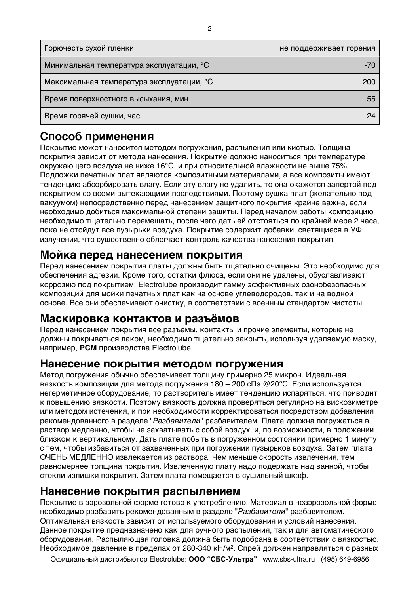| <sup>г</sup> Горючесть сухой пленки       | не поддерживает горения |
|-------------------------------------------|-------------------------|
| Минимальная температура эксплуатации, °C  | -70                     |
| Максимальная температура эксплуатации, °С | 200                     |
| Время поверхностного высыхания, мин       | 55                      |
| Время горячей сушки, час                  | 24                      |

# **Способ применения**

Покрытие может наносится методом погружения, распыления или кистью. Толщина покрытия зависит от метода нанесения. Покрытие должно наноситься при температуре окружающего воздуха не ниже 16°С, и при относительной влажности не выше 75%. Подложки печатных плат являются композитными материалами, а все композиты имеют тенденцию абсорбировать влагу. Если эту влагу не удалить, то она окажется запертой под покрытием со всеми вытекающими последствиями. Поэтому сушка плат (желательно под вакуумом) непосредственно перед нанесением защитного покрытия крайне важна, если необходимо добиться максимальной степени защиты. Перед началом работы композицию необходимо тщательно перемешать, после чего дать ей отстояться по крайней мере 2 часа, пока не отойдут все пузырьки воздуха. Покрытие содержит добавки, светящиеся в УФ излучении, что существенно облегчает контроль качества нанесения покрытия.

## **Мойка перед нанесением покрытия**

Перед нанесением покрытия платы должны быть тщательно очищены. Это необходимо для обеспечения адгезии. Кроме того, остатки флюса, если они не удалены, обуславливают коррозию под покрытием. Electrolube производит гамму эффективных озонобезопасных композиций для мойки печатных плат как на основе углеводородов, так и на водной основе. Все они обеспечивают очистку, в соответствии с военным стандартом чистоты.

### **Маскировка контактов и разъёмов**

Перед нанесением покрытия все разъёмы, контакты и прочие элементы, которые не должны покрываться лаком, необходимо тщательно закрыть, используя удаляемую маску, **например, РСМ производства Electrolube.** 

### **Нанесение покрытия методом погружения**

Метод погружения обычно обеспечивает толщину примерно 25 микрон. Идеальная  $B$ язкость композиции для метода погружения 180 – 200 сПз @20°С. Если используется Негерметичное оборудование, то растворитель имеет тенденцию испаряться, что приводит к повышению вязкости. Поэтому вязкость должна проверяться регулярно на вискозиметре или методом истечения, и при необходимости корректироваться посредством добавления рекомендованного в разделе "Разбавители" разбавителем. Плата должна погружаться в раствор медленно, чтобы не захватывать с собой воздух, и, по возможности, в положении близком к вертикальному. Дать плате побыть в погруженном состоянии примерно 1 минуту с тем, чтобы избавиться от захваченных при погружении пузырьков воздуха. Затем плата ОЧЕНЬ МЕДЛЕННО извлекается из раствора. Чем меньше скорость извлечения, тем равномернее толщина покрытия. Извлеченную плату надо подержать над ванной, чтобы стекли излишки покрытия. Затем плата помещается в сушильный шкаф.

### **Нанесение покрытия распылением**

Покрытие в аэрозольной форме готово к употреблению. Материал в неаэрозольной форме необходимо разбавить рекомендованным в разделе "Разбавители" разбавителем. Оптимальная вязкость зависит от используемого оборудования и условий нанесения. Данное покрытие предназначено как для ручного распыления, так и для автоматического оборудования. Распыляющая головка должна быть подобрана в соответствии с вязкостью. Необходимое давление в пределах от 280-340 кН/м<sup>2</sup>. Спрей должен направляться с разных

Официальный дистрибьютор Electrolube: ООО "СБС-Ультра" www.sbs-ultra.ru (495) 649-6956